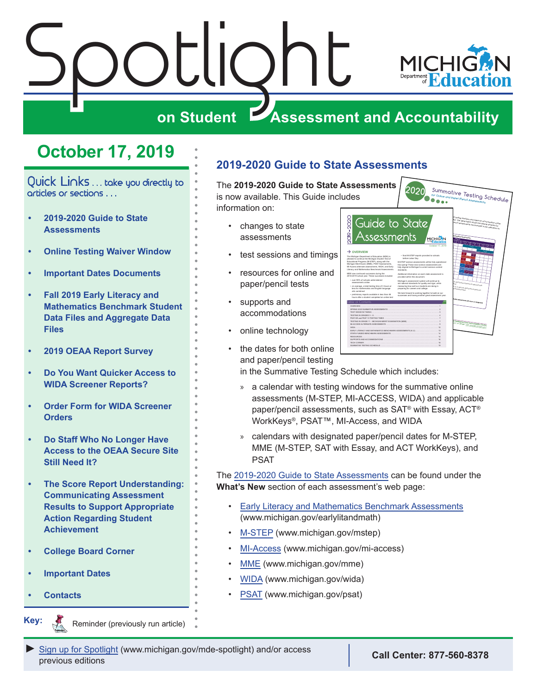<span id="page-0-0"></span>



## **October 17, 2019**

Quick Links . . . take you directly to articles or sections . . .

- **• 2019-2020 Guide to State Assessments**
- **• [Online Testing Waiver Window](#page-1-0)**
- **• [Important Dates Documents](#page-1-0)**
- **• [Fall 2019 Early Literacy and](#page-2-0)  [Mathematics Benchmark Student](#page-2-0)  [Data Files and Aggregate Data](#page-2-0)  [Files](#page-2-0)**
- **• [2019 OEAA Report Survey](#page-3-0)**
- **• [Do You Want Quicker Access to](#page-3-0)  [WIDA Screener Reports?](#page-3-0)**
- **• [Order Form for WIDA Screener](#page-3-0)  [Orders](#page-3-0)**
- **• [Do Staff Who No Longer Have](#page-4-0)  [Access to the OEAA Secure Site](#page-4-0)  [Still Need It?](#page-4-0)**
- **• [The Score Report Understanding:](#page-5-0)  [Communicating Assessment](#page-5-0)  [Results to Support Appropriate](#page-5-0)  [Action Regarding Student](#page-5-0)  [Achievement](#page-5-0)**
- **• [College Board Corner](#page-6-0)**
- **• [Important Dates](#page-8-0)**
- **• [Contacts](#page-10-0)**

Reminders

**Key:**

Reminder (previously run article) .

## **2019-2020 Guide to State Assessments**

The **2019-2020 Guide to State Assessments** is now available. This Guide includes information on:

- changes to state assessments
- test sessions and timings
- resources for online and paper/pencil tests
- supports and accommodations
- online technology
- the dates for both online and paper/pencil testing



in the Summative Testing Schedule which includes:

- » a calendar with testing windows for the summative online assessments (M-STEP, MI-ACCESS, WIDA) and applicable paper/pencil assessments, such as SAT® with Essay, ACT® WorkKeys®, PSAT™, MI-Access, and WIDA
- » calendars with designated paper/pencil dates for M-STEP, MME (M-STEP, SAT with Essay, and ACT WorkKeys), and PSAT

The [2019-2020 Guide to State Assessments](https://www.michigan.gov/documents/mde/Guide_to_State_Assessments_622260_7.pdf) can be found under the **What's New** section of each assessment's web page:

- [Early Literacy and Mathematics Benchmark Assessments](www.michigan.gov/earlylitandmath) (www.michigan.gov/earlylitandmath)
- [M-STEP](www.michigan.gov/mstep) (www.michigan.gov/mstep)
- [MI-Access](http://www.michigan.gov/mi-access) (www.michigan.gov/mi-access)
- [MME](www.michigan.gov/mme) (www.michigan.gov/mme)
- [WIDA](www.michigan.gov/wida) (www.michigan.gov/wida)
- [PSAT](http://www.michigan.gov/psat) (www.michigan.gov/psat)

*►* [Sign up for Spotlight](https://public.govdelivery.com/accounts/MIMDE/subscriber/new) ([www.michigan.gov/mde-](www.michigan.gov/mde-spotlight)spotlight) and/or access previous editions **Call Center: 877-560-8378**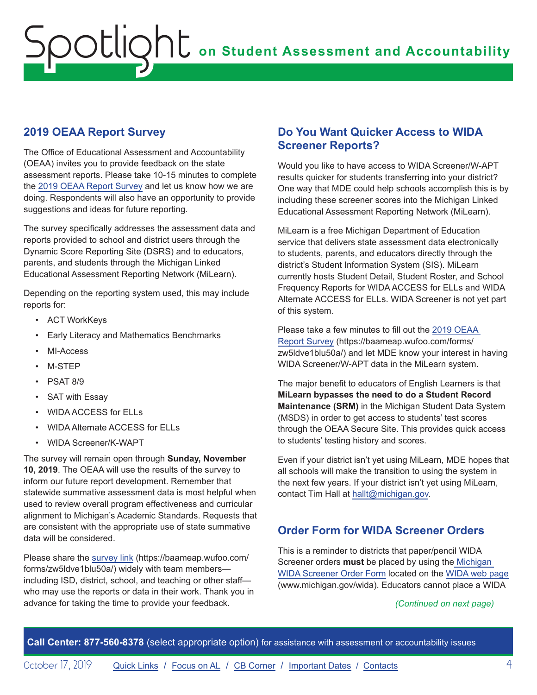## <span id="page-3-0"></span>**2019 OEAA Report Survey**

The Office of Educational Assessment and Accountability (OEAA) invites you to provide feedback on the state assessment reports. Please take 10-15 minutes to complete the [2019 OEAA Report Survey](https://baameap.wufoo.com/forms/zw5ldve1blu50a/) and let us know how we are doing. Respondents will also have an opportunity to provide suggestions and ideas for future reporting.

The survey specifically addresses the assessment data and reports provided to school and district users through the Dynamic Score Reporting Site (DSRS) and to educators, parents, and students through the Michigan Linked Educational Assessment Reporting Network (MiLearn).

Depending on the reporting system used, this may include reports for:

- ACT WorkKeys
- Early Literacy and Mathematics Benchmarks
- MI-Access
- M-STEP
- PSAT 8/9
- SAT with Essay
- WIDA ACCESS for ELLs
- WIDA Alternate ACCESS for ELLs
- WIDA Screener/K-WAPT

The survey will remain open through **Sunday, November 10, 2019**. The OEAA will use the results of the survey to inform our future report development. Remember that statewide summative assessment data is most helpful when used to review overall program effectiveness and curricular alignment to Michigan's Academic Standards. Requests that are consistent with the appropriate use of state summative data will be considered.

Please share the [survey link](https://baameap.wufoo.com/forms/zw5ldve1blu50a/) (https://baameap.wufoo.com/ forms/zw5ldve1blu50a/) widely with team members including ISD, district, school, and teaching or other staff who may use the reports or data in their work. Thank you in advance for taking the time to provide your feedback.

### **Do You Want Quicker Access to WIDA Screener Reports?**

Would you like to have access to WIDA Screener/W-APT results quicker for students transferring into your district? One way that MDE could help schools accomplish this is by including these screener scores into the Michigan Linked Educational Assessment Reporting Network (MiLearn).

MiLearn is a free Michigan Department of Education service that delivers state assessment data electronically to students, parents, and educators directly through the district's Student Information System (SIS). MiLearn currently hosts Student Detail, Student Roster, and School Frequency Reports for WIDA ACCESS for ELLs and WIDA Alternate ACCESS for ELLs. WIDA Screener is not yet part of this system.

Please take a few minutes to fill out the [2019 OEAA](https://baameap.wufoo.com/forms/zw5ldve1blu50a/)  [Report Survey](https://baameap.wufoo.com/forms/zw5ldve1blu50a/) (https://baameap.wufoo.com/forms/ zw5ldve1blu50a/) and let MDE know your interest in having WIDA Screener/W-APT data in the MiLearn system.

The major benefit to educators of English Learners is that **MiLearn bypasses the need to do a Student Record Maintenance (SRM)** in the Michigan Student Data System (MSDS) in order to get access to students' test scores through the OEAA Secure Site. This provides quick access to students' testing history and scores.

Even if your district isn't yet using MiLearn, MDE hopes that all schools will make the transition to using the system in the next few years. If your district isn't yet using MiLearn, contact Tim Hall at [hallt@michigan.gov.](mailto:hallt%40michigan.gov?subject=)

## **Order Form for WIDA Screener Orders**

This is a reminder to districts that paper/pencil WIDA Screener orders **must** be placed by using th[e Michigan](https://www.michigan.gov/documents/mde/WIDA_Paper_Screener_Fillable_Order_Form_654070_7.pdf)  [WIDA Screener Order Form](https://www.michigan.gov/documents/mde/WIDA_Paper_Screener_Fillable_Order_Form_654070_7.pdf) located on the [WIDA web page](www.michigan.gov/wida) (www.michigan.gov/wida). Educators cannot place a WIDA

#### *(Continued on next page)*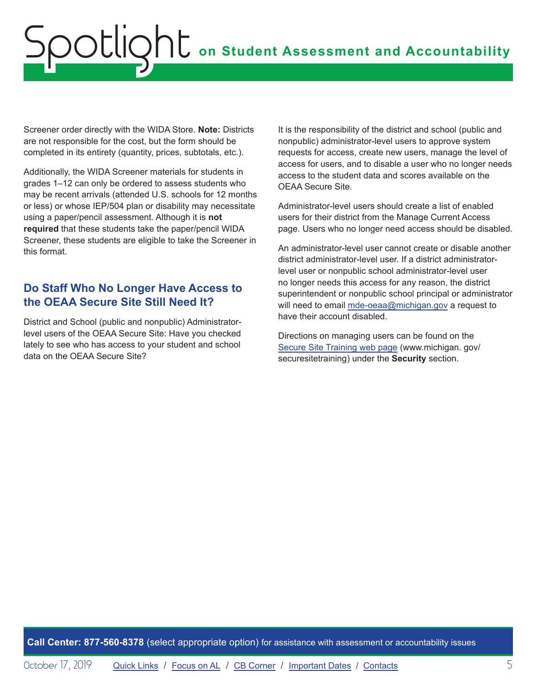<span id="page-4-0"></span>Screener order directly with the WIDA Store. **Note:** Districts are not responsible for the cost, but the form should be completed in its entirety (quantity, prices, subtotals, etc.).

Additionally, the WIDA Screener materials for students in grades 1–12 can only be ordered to assess students who may be recent arrivals (attended U.S. schools for 12 months or less) or whose IEP/504 plan or disability may necessitate using a paper/pencil assessment. Although it is **not required** that these students take the paper/pencil WIDA Screener, these students are eligible to take the Screener in this format.

## **Do Staff Who No Longer Have Access to the OEAA Secure Site Still Need It?**

District and School (public and nonpublic) Administratorlevel users of the OEAA Secure Site: Have you checked lately to see who has access to your student and school data on the OEAA Secure Site?

It is the responsibility of the district and school (public and nonpublic) administrator-level users to approve system requests for access, create new users, manage the level of access for users, and to disable a user who no longer needs access to the student data and scores available on the OEAA Secure Site.

Administrator-level users should create a list of enabled users for their district from the Manage Current Access page. Users who no longer need access should be disabled.

An administrator-level user cannot create or disable another district administrator-level user. If a district administratorlevel user or nonpublic school administrator-level user no longer needs this access for any reason, the district superintendent or nonpublic school principal or administrator will need to email [mde-oeaa@michigan.gov](mailto:mde-oeaa%40michigan.gov?subject=) a request to have their account disabled.

Directions on managing users can be found on the [Secure Site Training web page](http://www.michigan.gov/securesitetraining) (www.michigan. gov/ securesitetraining) under the **Security** section.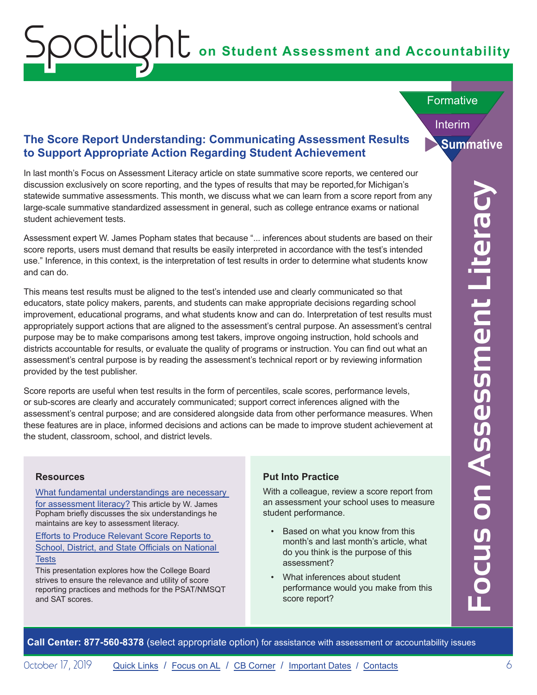## **on Student Assessment and Accountability**

#### **Formative**

Interim

## **The Score Report Understanding: Communicating Assessment Results Summative to Support Appropriate Action Regarding Student Achievement**

In last month's Focus on Assessment Literacy article on state summative score reports, we centered our discussion exclusively on score reporting, and the types of results that may be reported,for Michigan's statewide summative assessments. This month, we discuss what we can learn from a score report from any large-scale summative standardized assessment in general, such as college entrance exams or national student achievement tests.

Assessment expert W. James Popham states that because "... inferences about students are based on their score reports, users must demand that results be easily interpreted in accordance with the test's intended use." Inference, in this context, is the interpretation of test results in order to determine what students know and can do.

**Calcular Centers:** Center and The Teach of Teach Teach Teach Teach of Mohigan's consistent in the center of the material or the report of the response of the center of the center of the state simulation of the state simul This means test results must be aligned to the test's intended use and clearly communicated so that educators, state policy makers, parents, and students can make appropriate decisions regarding school improvement, educational programs, and what students know and can do. Interpretation of test results must appropriately support actions that are aligned to the assessment's central purpose. An assessment's central purpose may be to make comparisons among test takers, improve ongoing instruction, hold schools and districts accountable for results, or evaluate the quality of programs or instruction. You can find out what an assessment's central purpose is by reading the assessment's technical report or by reviewing information provided by the test publisher.

Score reports are useful when test results in the form of percentiles, scale scores, performance levels, or sub-scores are clearly and accurately communicated; support correct inferences aligned with the assessment's central purpose; and are considered alongside data from other performance measures. When these features are in place, informed decisions and actions can be made to improve student achievement at the student, classroom, school, and district levels.

#### **Resources**

[What fundamental understandings are necessary](https://www.michiganassessmentconsortium.org/wp-content/uploads/2018_Nov_FUNDAMENTAL_UNDERSTANDINGS_ASSESSMENT_LITERACY-3.pdf)  [for assessment literacy?](https://www.michiganassessmentconsortium.org/wp-content/uploads/2018_Nov_FUNDAMENTAL_UNDERSTANDINGS_ASSESSMENT_LITERACY-3.pdf) This article by W. James Popham briefly discusses the six understandings he maintains are key to assessment literacy.

<span id="page-5-0"></span>Spotlight

[Efforts to Produce Relevant Score Reports to](http://files.eric.ed.gov/fulltext/ED563403.pdf)  [School, District, and State Officials on National](http://files.eric.ed.gov/fulltext/ED563403.pdf)  **[Tests](http://files.eric.ed.gov/fulltext/ED563403.pdf)** 

This presentation explores how the College Board strives to ensure the relevance and utility of score reporting practices and methods for the PSAT/NMSQT and SAT scores.

#### **Put Into Practice**

With a colleague, review a score report from an assessment your school uses to measure student performance.

- Based on what you know from this month's and last month's article, what do you think is the purpose of this assessment?
- What inferences about student performance would you make from this score report?

October 17, 2019 **[Quick Links](#page-0-0) / Focus on AL / [CB Corner](#page-6-1) / [Important Dates](#page-8-1) / [Contacts](#page-10-1)** 6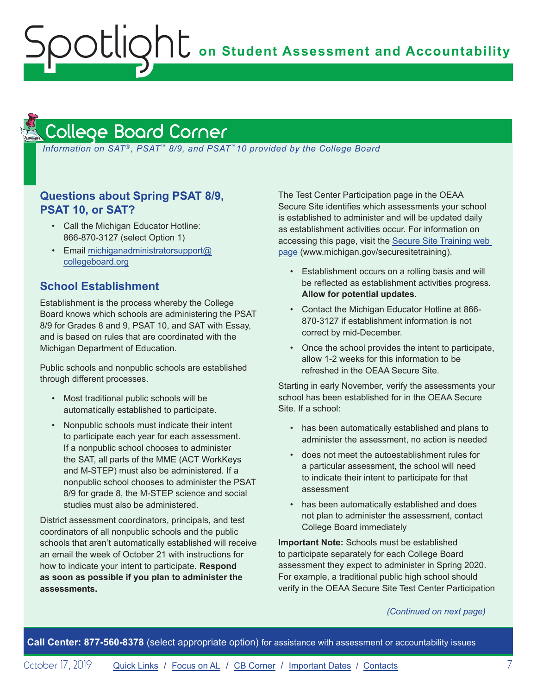## **on Student Assessment and Accountability**

## <span id="page-6-1"></span>College Board Corner

<span id="page-6-0"></span>Spotlight

**Reminders** 

*Information on SAT*®*, PSAT*™ *8/9, and PSAT*™*10 provided by the College Board*

### **Questions about Spring PSAT 8/9, PSAT 10, or SAT?**

- Call the Michigan Educator Hotline: 866-870-3127 (select Option 1)
- Email [michiganadministratorsupport@](mailto:michiganadministratorsupport%40collegeboard.org?subject=) [collegeboard.org](mailto:michiganadministratorsupport%40collegeboard.org?subject=)

### **School Establishment**

Establishment is the process whereby the College Board knows which schools are administering the PSAT 8/9 for Grades 8 and 9, PSAT 10, and SAT with Essay, and is based on rules that are coordinated with the Michigan Department of Education.

Public schools and nonpublic schools are established through different processes.

- Most traditional public schools will be automatically established to participate.
- Nonpublic schools must indicate their intent to participate each year for each assessment. If a nonpublic school chooses to administer the SAT, all parts of the MME (ACT WorkKeys and M-STEP) must also be administered. If a nonpublic school chooses to administer the PSAT 8/9 for grade 8, the M-STEP science and social studies must also be administered.

District assessment coordinators, principals, and test coordinators of all nonpublic schools and the public schools that aren't automatically established will receive an email the week of October 21 with instructions for how to indicate your intent to participate. **Respond as soon as possible if you plan to administer the assessments.**

The Test Center Participation page in the OEAA Secure Site identifies which assessments your school is established to administer and will be updated daily as establishment activities occur. For information on accessing this page, visit the [Secure Site Training web](http://www.michigan.gov/securesitetraining)  [page](http://www.michigan.gov/securesitetraining) (www.michigan.gov/securesitetraining).

- Establishment occurs on a rolling basis and will be reflected as establishment activities progress. **Allow for potential updates**.
- Contact the Michigan Educator Hotline at 866- 870-3127 if establishment information is not correct by mid-December.
- Once the school provides the intent to participate, allow 1-2 weeks for this information to be refreshed in the OEAA Secure Site.

Starting in early November, verify the assessments your school has been established for in the OEAA Secure Site. If a school:

- has been automatically established and plans to administer the assessment, no action is needed
- does not meet the autoestablishment rules for a particular assessment, the school will need to indicate their intent to participate for that assessment
- has been automatically established and does not plan to administer the assessment, contact College Board immediately

**Important Note:** Schools must be established to participate separately for each College Board assessment they expect to administer in Spring 2020. For example, a traditional public high school should verify in the OEAA Secure Site Test Center Participation

*(Continued on next page)*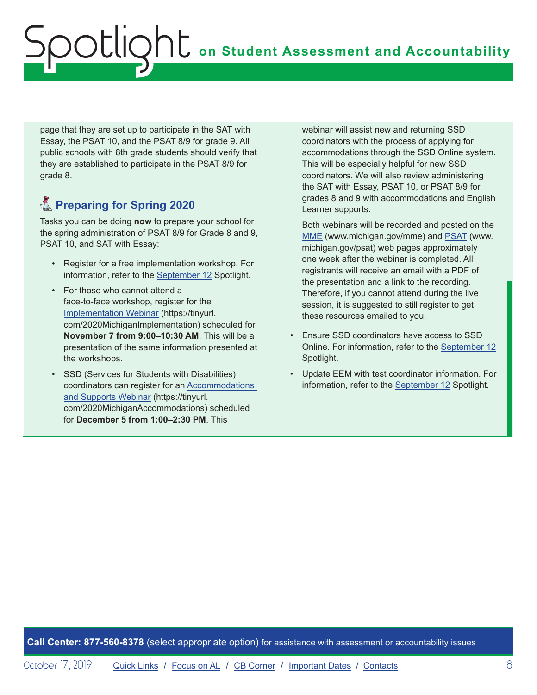page that they are set up to participate in the SAT with Essay, the PSAT 10, and the PSAT 8/9 for grade 9. All public schools with 8th grade students should verify that they are established to participate in the PSAT 8/9 for grade 8.

## **K** Preparing for Spring 2020

Tasks you can be doing **now** to prepare your school for the spring administration of PSAT 8/9 for Grade 8 and 9, PSAT 10, and SAT with Essay:

- Register for a free implementation workshop. For information, refer to the [September 12](https://www.michigan.gov/documents/mde/Spotlight_9-12-19_665733_7.pdf) Spotlight.
- For those who cannot attend a face-to-face workshop, register for the [Implementation Webinar](https://tinyurl.com/2020MichiganImplementation) (https://tinyurl. com/2020MichiganImplementation) scheduled for **November 7 from 9:00–10:30 AM**. This will be a presentation of the same information presented at the workshops.
- SSD (Services for Students with Disabilities) coordinators can register for an [Accommodations](https://tinyurl.com/2020MichiganAccommodations)  [and Supports Webinar](https://tinyurl.com/2020MichiganAccommodations) (https://tinyurl. com/2020MichiganAccommodations) scheduled for **December 5 from 1:00–2:30 PM**. This

webinar will assist new and returning SSD coordinators with the process of applying for accommodations through the SSD Online system. This will be especially helpful for new SSD coordinators. We will also review administering the SAT with Essay, PSAT 10, or PSAT 8/9 for grades 8 and 9 with accommodations and English Learner supports.

Both webinars will be recorded and posted on the [MME](www.michigan.gov/mme) (www.michigan.gov/mme) and [PSAT](http://www.michigan.gov/psat) (www. michigan.gov/psat) web pages approximately one week after the webinar is completed. All registrants will receive an email with a PDF of the presentation and a link to the recording. Therefore, if you cannot attend during the live session, it is suggested to still register to get these resources emailed to you.

- Ensure SSD coordinators have access to SSD Online. For information, refer to the [September 12](https://www.michigan.gov/documents/mde/Spotlight_9-12-19_665733_7.pdf) Spotlight.
- Update EEM with test coordinator information. For information, refer to the [September 12](https://www.michigan.gov/documents/mde/Spotlight_9-12-19_665733_7.pdf) Spotlight.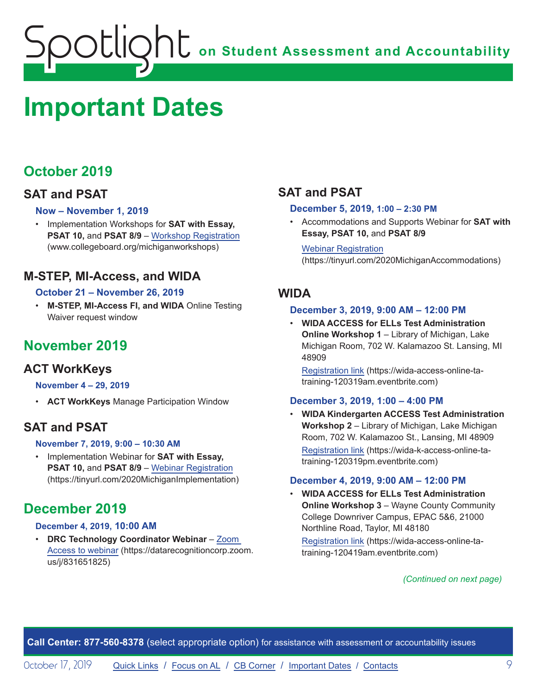## <span id="page-8-1"></span><span id="page-8-0"></span>**Important Dates**

## **October 2019**

## **SAT and PSAT**

### **Now – November 1, 2019**

• Implementation Workshops for **SAT with Essay, PSAT 10, and PSAT 8/9 – [Workshop Registration](http://www.collegeboard.org/michiganworkshops)** (www.collegeboard.org/michiganworkshops)

## **M-STEP, MI-Access, and WIDA**

### **October 21 – November 26, 2019**

• **M-STEP, MI-Access FI, and WIDA** Online Testing Waiver request window

## **November 2019**

## **ACT WorkKeys**

#### **November 4 – 29, 2019**

• **ACT WorkKeys** Manage Participation Window

## **SAT and PSAT**

#### **November 7, 2019, 9:00 – 10:30 AM**

• Implementation Webinar for **SAT with Essay, PSAT 10,** and **PSAT 8/9** – [Webinar Registration](https://tinyurl.com/2020MichiganImplementation) (https://tinyurl.com/2020MichiganImplementation)

## **December 2019**

#### **December 4, 2019, 10:00 AM**

• **DRC Technology Coordinator Webinar** – [Zoom](https://datarecognitioncorp.zoom.us/j/831651825)  [Access to webinar](https://datarecognitioncorp.zoom.us/j/831651825) (https://datarecognitioncorp.zoom. us/j/831651825)

## **SAT and PSAT**

#### **December 5, 2019, 1:00 – 2:30 PM**

• Accommodations and Supports Webinar for **SAT with Essay, PSAT 10,** and **PSAT 8/9**

Webinar [Registration](https://tinyurl.com/2020MichiganAccommodations) (https://tinyurl.com/2020MichiganAccommodations)

## **WIDA**

#### **December 3, 2019, 9:00 AM – 12:00 PM**

• **WIDA ACCESS for ELLs Test Administration Online Workshop 1** – Library of Michigan, Lake Michigan Room, 702 W. Kalamazoo St. Lansing, MI 48909

[Registration link](https://wida-access-online-ta-training-120319am.eventbrite.com) (https://wida-access-online-tatraining-120319am.eventbrite.com)

### **December 3, 2019, 1:00 – 4:00 PM**

• **WIDA Kindergarten ACCESS Test Administration Workshop 2** – Library of Michigan, Lake Michigan Room, 702 W. Kalamazoo St., Lansing, MI 48909 [Registration link](https://wida-k-access-online-ta-training-120319pm.eventbrite.com) (https://wida-k-access-online-tatraining-120319pm.eventbrite.com)

#### **December 4, 2019, 9:00 AM – 12:00 PM**

• **WIDA ACCESS for ELLs Test Administration Online Workshop 3** – Wayne County Community College Downriver Campus, EPAC 5&6, 21000 Northline Road, Taylor, MI 48180

[Registration link](https://wida-access-online-ta-training-120419am.eventbrite.com) (https://wida-access-online-tatraining-120419am.eventbrite.com)

#### *(Continued on next page)*

**Call Center: 877-560-8378** (select appropriate option) for assistance with assessment or accountability issues

October 17, 2019 **[Quick Links](#page-0-0) / [Focus on AL](#page-5-0) / [CB Corner](#page-6-1) / [Important Dates](#page-8-1) / [Contacts](#page-10-1)** 9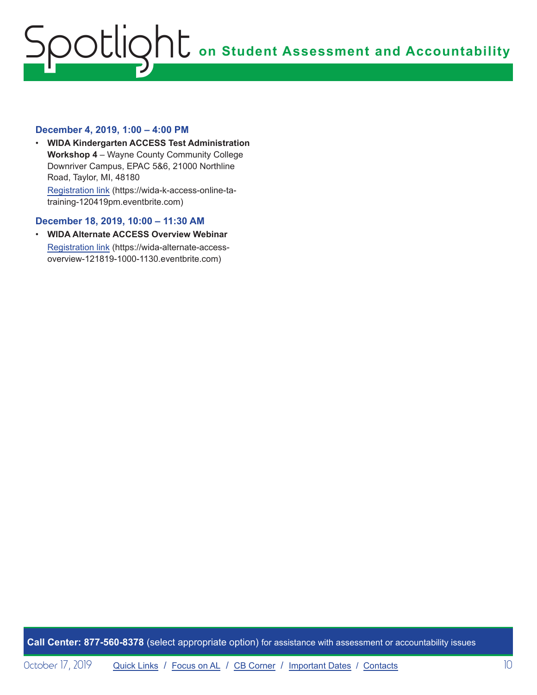#### **December 4, 2019, 1:00 – 4:00 PM**

• **WIDA Kindergarten ACCESS Test Administration Workshop 4** – Wayne County Community College Downriver Campus, EPAC 5&6, 21000 Northline Road, Taylor, MI, 48180 [Registration link](https://wida-k-access-online-ta-training-120419pm.eventbrite.com) (https://wida-k-access-online-tatraining-120419pm.eventbrite.com)

#### **December 18, 2019, 10:00 – 11:30 AM**

• **WIDA Alternate ACCESS Overview Webinar** [Registration link](https://wida-alternate-access-overview-121819-1000-1130.eventbrite.com) (https://wida-alternate-accessoverview-121819-1000-1130.eventbrite.com)